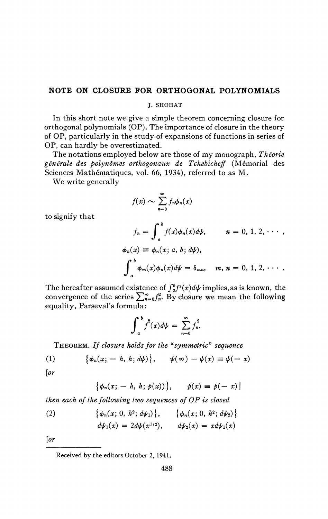## **NOTE ON CLOSURE FOR ORTHOGONAL POLYNOMIALS**

J. SHOHAT

In this short note we give a simple theorem concerning closure for orthogonal polynomials (OP). The importance of closure in the theory of OP, particularly in the study of expansions of functions in series of OP, can hardly be overestimated.

The notations employed below are those of my monograph, *Théorie générale des polynômes orthogonaux de Tchebicheff* (Mémorial des Sciences Mathématiques, vol. 66, 1934), referred to as M.

We write generally

$$
f(x) \sim \sum_{n=0}^{\infty} f_n \phi_n(x)
$$

to signify that

$$
f_n = \int_a^b f(x)\phi_n(x)d\psi, \qquad n = 0, 1, 2, \cdots,
$$
  

$$
\phi_n(x) \equiv \phi_n(x; a, b; d\psi),
$$
  

$$
\int_a^b \phi_m(x)\phi_n(x)d\psi = \delta_{mn}, \quad m, n = 0, 1, 2, \cdots.
$$

The hereafter assumed existence of  $\int_a^b f^2(x) d\psi$  implies, as is known, the convergence of the series  $\sum_{n=0}^{\infty} f_n^2$ . By closure we mean the following equality, Parseval's formula :

$$
\int_a^b f^2(x) d\psi = \sum_{n=0}^\infty f_n^2.
$$

 $\int_a^b f(x) d\psi = \sum_{n=0}^{\infty} f_n^r.$ <br>THEOREM. If closure holds for the "symmetric" sequence

(1) 
$$
\{\phi_n(x; -h, h; d\psi)\}, \qquad \psi(\infty) - \psi(x) \equiv \psi(-x)
$$

*[or* 

$$
\{\phi_n(x; -h, h; p(x))\}, \quad p(x) \equiv p(-x)
$$

*then each of the following two sequences of OP is closed* 

(2) 
$$
\{\phi_n(x; 0, h^2; d\psi_1)\}, \{\phi_n(x; 0, h^2; d\psi_2)\}\
$$

$$
d\psi_1(x) = 2d\psi(x^{1/2}), \qquad d\psi_2(x) = x d\psi_1(x)
$$

*[or* 

Received by the editors October 2, 1941.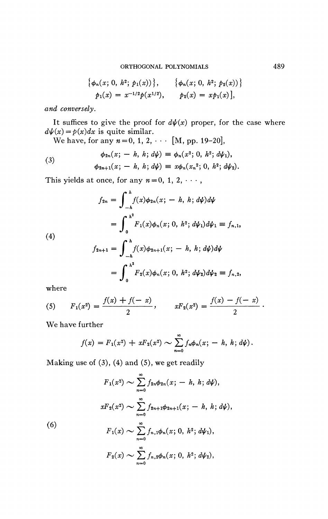$$
\{\phi_n(x; 0, h^2; p_1(x))\}, \{\phi_n(x; 0, h^2; p_2(x))\}
$$
  

$$
p_1(x) = x^{-1/2}p(x^{1/2}), \qquad p_2(x) = xp_1(x)],
$$

*and conversely.* 

It suffices to give the proof for  $d\psi(x)$  proper, for the case where  $d\psi(x) = p(x)dx$  is quite similar.

We have, for any  $n = 0, 1, 2, \cdots$  [M, pp. 19-20],

(3) 
$$
\phi_{2n}(x; -h, h; d\psi) \equiv \phi_n(x^2; 0, h^2; d\psi_1), \phi_{2n+1}(x; -h, h; d\psi) \equiv x\phi_n(x_n^2; 0, h^2; d\psi_2).
$$

This yields at once, for any  $n = 0, 1, 2, \cdots$ ,

$$
f_{2n} = \int_{-h}^{h} f(x)\phi_{2n}(x; - h, h; d\psi)d\psi
$$
  
= 
$$
\int_{0}^{h^{2}} F_{1}(x)\phi_{n}(x; 0, h^{2}; d\psi_{1})d\psi_{1} \equiv f_{n, 1},
$$
  

$$
f_{2n+1} = \int_{0}^{h} f(x)\phi_{2n+1}(x; - h, h; d\psi)d\psi
$$

**(4)** 

$$
f_{2n+1} = \int_{-h}^{h} f(x)\phi_{2n+1}(x; - h, h; d\psi)d\psi
$$
  
= 
$$
\int_{0}^{h^2} F_2(x)\phi_n(x; 0, h^2; d\psi_2)d\psi_2 \equiv f_{n,2},
$$

where

(5) 
$$
F_1(x^2) = \frac{f(x) + f(-x)}{2}
$$
,  $xF_2(x^2) = \frac{f(x) - f(-x)}{2}$ .

We have further

$$
f(x) = F_1(x^2) + xF_2(x^2) \sim \sum_{n=0}^{\infty} f_n \phi_n(x; -h, h; d\psi).
$$

Making use of  $(3)$ ,  $(4)$  and  $(5)$ , we get readily

$$
F_1(x^2) \sim \sum_{n=0}^{\infty} f_{2n} \phi_{2n}(x; -h, h; d\psi),
$$
  

$$
xF_2(x^2) \sim \sum_{n=0}^{\infty} f_{2n+1} \phi_{2n+1}(x; -h, h; d\psi),
$$
  
(6)  

$$
F_1(x) \sim \sum_{n=0}^{\infty} f_{n,1} \phi_n(x; 0, h^2; d\psi_1),
$$
  

$$
F_2(x) \sim \sum_{n=0}^{\infty} f_{n,2} \phi_n(x; 0, h^2; d\psi_2),
$$